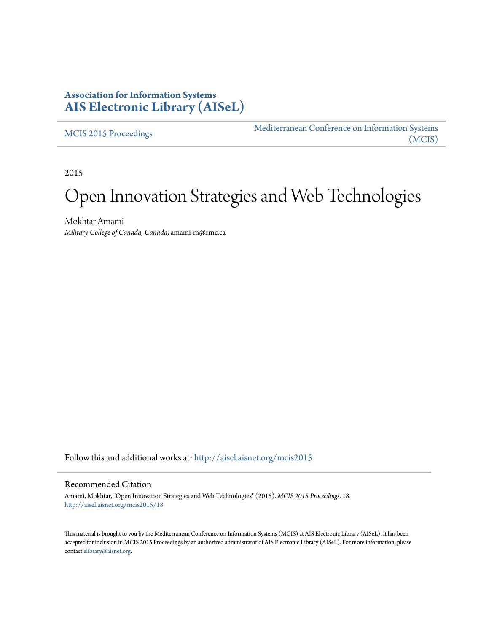# **Association for Information Systems [AIS Electronic Library \(AISeL\)](http://aisel.aisnet.org?utm_source=aisel.aisnet.org%2Fmcis2015%2F18&utm_medium=PDF&utm_campaign=PDFCoverPages)**

[MCIS 2015 Proceedings](http://aisel.aisnet.org/mcis2015?utm_source=aisel.aisnet.org%2Fmcis2015%2F18&utm_medium=PDF&utm_campaign=PDFCoverPages)

[Mediterranean Conference on Information Systems](http://aisel.aisnet.org/mcis?utm_source=aisel.aisnet.org%2Fmcis2015%2F18&utm_medium=PDF&utm_campaign=PDFCoverPages) [\(MCIS\)](http://aisel.aisnet.org/mcis?utm_source=aisel.aisnet.org%2Fmcis2015%2F18&utm_medium=PDF&utm_campaign=PDFCoverPages)

2015

# Open Innovation Strategies and Web Technologies

Mokhtar Amami *Military College of Canada, Canada*, amami-m@rmc.ca

Follow this and additional works at: [http://aisel.aisnet.org/mcis2015](http://aisel.aisnet.org/mcis2015?utm_source=aisel.aisnet.org%2Fmcis2015%2F18&utm_medium=PDF&utm_campaign=PDFCoverPages)

#### Recommended Citation

Amami, Mokhtar, "Open Innovation Strategies and Web Technologies" (2015). *MCIS 2015 Proceedings*. 18. [http://aisel.aisnet.org/mcis2015/18](http://aisel.aisnet.org/mcis2015/18?utm_source=aisel.aisnet.org%2Fmcis2015%2F18&utm_medium=PDF&utm_campaign=PDFCoverPages)

This material is brought to you by the Mediterranean Conference on Information Systems (MCIS) at AIS Electronic Library (AISeL). It has been accepted for inclusion in MCIS 2015 Proceedings by an authorized administrator of AIS Electronic Library (AISeL). For more information, please contact [elibrary@aisnet.org.](mailto:elibrary@aisnet.org%3E)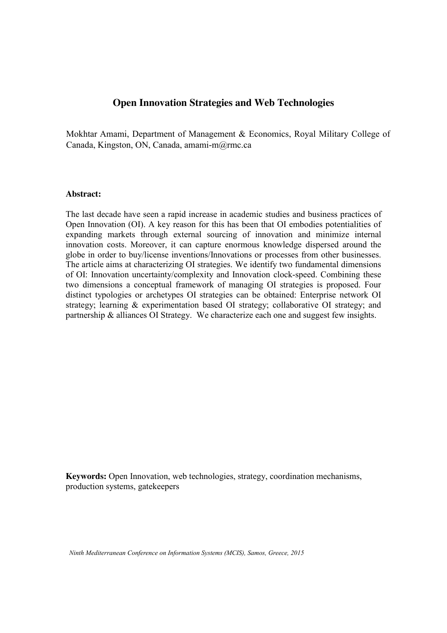# **Open Innovation Strategies and Web Technologies**

Mokhtar Amami Mokhtar Amami, Department of Management & Economics, Royal Military College of Canada, Kingston, ON, Canada, amami-m@rmc.ca Royal Military College of Canada

#### **Abstract:**

The last decade have seen a rapid increase in academic studies and business practices of Open Innovation (OI). A key reason for this has been that OI embodies potentialities of expanding markets through external sourcing of innovation and minimize internal innovation costs. Moreover, it can capture enormous knowledge dispersed around the globe in order to buy/license inventions/Innovations or processes from other businesses. The article aims at characterizing OI strategies. We identify two fundamental dimensions of OI: Innovation uncertainty/complexity and Innovation clock-speed. Combining these two dimensions a conceptual framework of managing OI strategies is proposed. Four distinct typologies or archetypes OI strategies can be obtained: Enterprise network OI strategy; learning & experimentation based OI strategy; collaborative OI strategy; and partnership & alliances OI Strategy. We characterize each one and suggest few insights.

**Keywords:** Open Innovation, web technologies, strategy, coordination mechanisms, production systems, gatekeepers

*Ninth Mediterranean Conference on Information Systems (MCIS), Samos, Greece, 2015*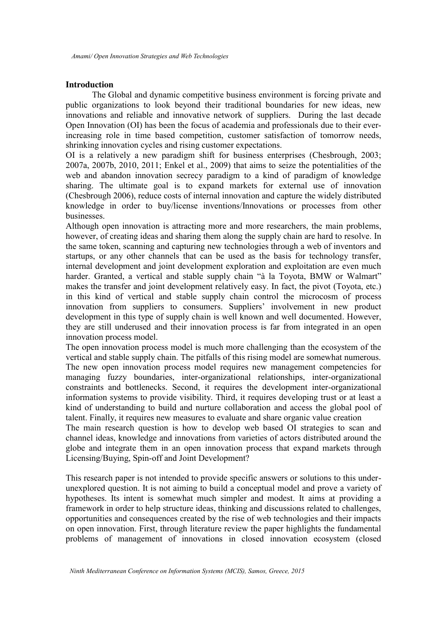#### **Introduction**

The Global and dynamic competitive business environment is forcing private and public organizations to look beyond their traditional boundaries for new ideas, new innovations and reliable and innovative network of suppliers. During the last decade Open Innovation (OI) has been the focus of academia and professionals due to their everincreasing role in time based competition, customer satisfaction of tomorrow needs, shrinking innovation cycles and rising customer expectations.

OI is a relatively a new paradigm shift for business enterprises (Chesbrough, 2003; 2007a, 2007b, 2010, 2011; Enkel et al., 2009) that aims to seize the potentialities of the web and abandon innovation secrecy paradigm to a kind of paradigm of knowledge sharing. The ultimate goal is to expand markets for external use of innovation (Chesbrough 2006), reduce costs of internal innovation and capture the widely distributed knowledge in order to buy/license inventions/Innovations or processes from other businesses.

Although open innovation is attracting more and more researchers, the main problems, however, of creating ideas and sharing them along the supply chain are hard to resolve. In the same token, scanning and capturing new technologies through a web of inventors and startups, or any other channels that can be used as the basis for technology transfer, internal development and joint development exploration and exploitation are even much harder. Granted, a vertical and stable supply chain "à la Toyota, BMW or Walmart" makes the transfer and joint development relatively easy. In fact, the pivot (Toyota, etc.) in this kind of vertical and stable supply chain control the microcosm of process innovation from suppliers to consumers. Suppliers' involvement in new product development in this type of supply chain is well known and well documented. However, they are still underused and their innovation process is far from integrated in an open innovation process model.

The open innovation process model is much more challenging than the ecosystem of the vertical and stable supply chain. The pitfalls of this rising model are somewhat numerous. The new open innovation process model requires new management competencies for managing fuzzy boundaries, inter-organizational relationships, inter-organizational constraints and bottlenecks. Second, it requires the development inter-organizational information systems to provide visibility. Third, it requires developing trust or at least a kind of understanding to build and nurture collaboration and access the global pool of talent. Finally, it requires new measures to evaluate and share organic value creation

The main research question is how to develop web based OI strategies to scan and channel ideas, knowledge and innovations from varieties of actors distributed around the globe and integrate them in an open innovation process that expand markets through Licensing/Buying, Spin-off and Joint Development?

This research paper is not intended to provide specific answers or solutions to this underunexplored question. It is not aiming to build a conceptual model and prove a variety of hypotheses. Its intent is somewhat much simpler and modest. It aims at providing a framework in order to help structure ideas, thinking and discussions related to challenges, opportunities and consequences created by the rise of web technologies and their impacts on open innovation. First, through literature review the paper highlights the fundamental problems of management of innovations in closed innovation ecosystem (closed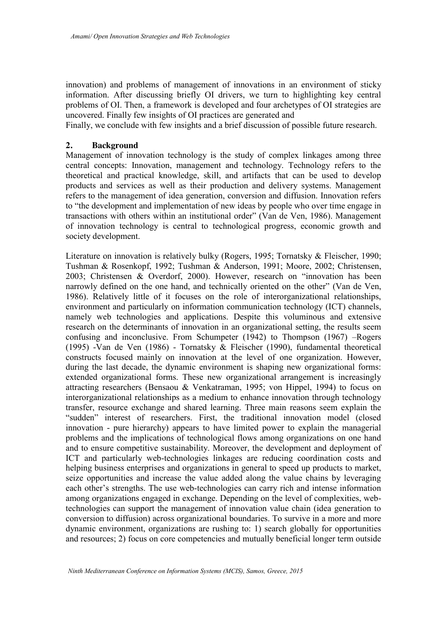innovation) and problems of management of innovations in an environment of sticky information. After discussing briefly OI drivers, we turn to highlighting key central problems of OI. Then, a framework is developed and four archetypes of OI strategies are uncovered. Finally few insights of OI practices are generated and

Finally, we conclude with few insights and a brief discussion of possible future research.

## **2. Background**

Management of innovation technology is the study of complex linkages among three central concepts: Innovation, management and technology. Technology refers to the theoretical and practical knowledge, skill, and artifacts that can be used to develop products and services as well as their production and delivery systems. Management refers to the management of idea generation, conversion and diffusion. Innovation refers to "the development and implementation of new ideas by people who over time engage in transactions with others within an institutional order" (Van de Ven, 1986). Management of innovation technology is central to technological progress, economic growth and society development.

Literature on innovation is relatively bulky (Rogers, 1995; Tornatsky & Fleischer, 1990; Tushman & Rosenkopf, 1992; Tushman & Anderson, 1991; Moore, 2002; Christensen, 2003; Christensen & Overdorf, 2000). However, research on "innovation has been narrowly defined on the one hand, and technically oriented on the other" (Van de Ven, 1986). Relatively little of it focuses on the role of interorganizational relationships, environment and particularly on information communication technology (ICT) channels, namely web technologies and applications. Despite this voluminous and extensive research on the determinants of innovation in an organizational setting, the results seem confusing and inconclusive. From Schumpeter (1942) to Thompson (1967) –Rogers (1995) -Van de Ven (1986) - Tornatsky & Fleischer (1990), fundamental theoretical constructs focused mainly on innovation at the level of one organization. However, during the last decade, the dynamic environment is shaping new organizational forms: extended organizational forms. These new organizational arrangement is increasingly attracting researchers (Bensaou & Venkatraman, 1995; von Hippel, 1994) to focus on interorganizational relationships as a medium to enhance innovation through technology transfer, resource exchange and shared learning. Three main reasons seem explain the "sudden" interest of researchers. First, the traditional innovation model (closed innovation - pure hierarchy) appears to have limited power to explain the managerial problems and the implications of technological flows among organizations on one hand and to ensure competitive sustainability. Moreover, the development and deployment of ICT and particularly web-technologies linkages are reducing coordination costs and helping business enterprises and organizations in general to speed up products to market, seize opportunities and increase the value added along the value chains by leveraging each other's strengths. The use web-technologies can carry rich and intense information among organizations engaged in exchange. Depending on the level of complexities, webtechnologies can support the management of innovation value chain (idea generation to conversion to diffusion) across organizational boundaries. To survive in a more and more dynamic environment, organizations are rushing to: 1) search globally for opportunities and resources; 2) focus on core competencies and mutually beneficial longer term outside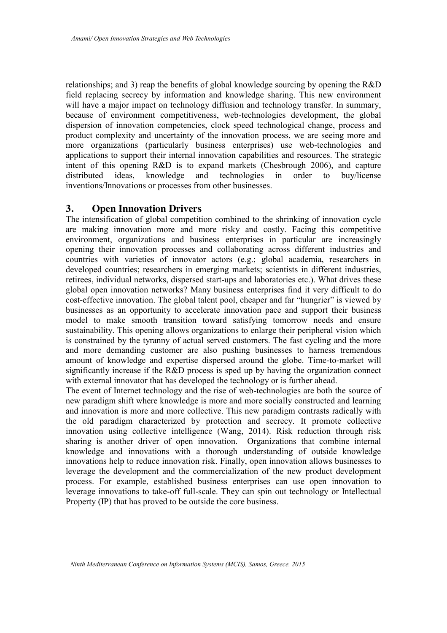relationships; and 3) reap the benefits of global knowledge sourcing by opening the R&D field replacing secrecy by information and knowledge sharing. This new environment will have a major impact on technology diffusion and technology transfer. In summary, because of environment competitiveness, web-technologies development, the global dispersion of innovation competencies, clock speed technological change, process and product complexity and uncertainty of the innovation process, we are seeing more and more organizations (particularly business enterprises) use web-technologies and applications to support their internal innovation capabilities and resources. The strategic intent of this opening R&D is to expand markets (Chesbrough 2006), and capture distributed ideas, knowledge and technologies in order to buy/license inventions/Innovations or processes from other businesses.

## **3. Open Innovation Drivers**

The intensification of global competition combined to the shrinking of innovation cycle are making innovation more and more risky and costly. Facing this competitive environment, organizations and business enterprises in particular are increasingly opening their innovation processes and collaborating across different industries and countries with varieties of innovator actors (e.g.; global academia, researchers in developed countries; researchers in emerging markets; scientists in different industries, retirees, individual networks, dispersed start-ups and laboratories etc.). What drives these global open innovation networks? Many business enterprises find it very difficult to do cost-effective innovation. The global talent pool, cheaper and far "hungrier" is viewed by businesses as an opportunity to accelerate innovation pace and support their business model to make smooth transition toward satisfying tomorrow needs and ensure sustainability. This opening allows organizations to enlarge their peripheral vision which is constrained by the tyranny of actual served customers. The fast cycling and the more and more demanding customer are also pushing businesses to harness tremendous amount of knowledge and expertise dispersed around the globe. Time-to-market will significantly increase if the R&D process is sped up by having the organization connect with external innovator that has developed the technology or is further ahead.

The event of Internet technology and the rise of web-technologies are both the source of new paradigm shift where knowledge is more and more socially constructed and learning and innovation is more and more collective. This new paradigm contrasts radically with the old paradigm characterized by protection and secrecy. It promote collective innovation using collective intelligence (Wang, 2014). Risk reduction through risk sharing is another driver of open innovation. Organizations that combine internal knowledge and innovations with a thorough understanding of outside knowledge innovations help to reduce innovation risk. Finally, open innovation allows businesses to leverage the development and the commercialization of the new product development process. For example, established business enterprises can use open innovation to leverage innovations to take-off full-scale. They can spin out technology or Intellectual Property (IP) that has proved to be outside the core business.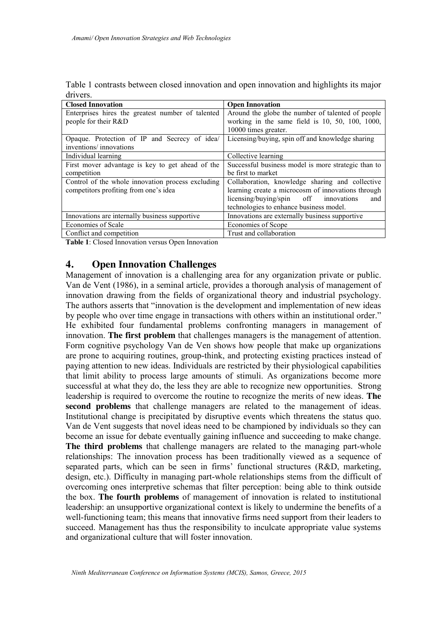|          |  | Table 1 contrasts between closed innovation and open innovation and highlights its major |  |  |  |
|----------|--|------------------------------------------------------------------------------------------|--|--|--|
| drivers. |  |                                                                                          |  |  |  |

| <b>Closed Innovation</b>                          | <b>Open Innovation</b>                              |  |  |  |  |
|---------------------------------------------------|-----------------------------------------------------|--|--|--|--|
| Enterprises hires the greatest number of talented | Around the globe the number of talented of people   |  |  |  |  |
| people for their R&D                              | working in the same field is $10, 50, 100, 1000$ ,  |  |  |  |  |
|                                                   | 10000 times greater.                                |  |  |  |  |
| Opaque. Protection of IP and Secrecy of idea/     | Licensing/buying, spin off and knowledge sharing    |  |  |  |  |
| inventions/ innovations                           |                                                     |  |  |  |  |
| Individual learning                               | Collective learning                                 |  |  |  |  |
| First mover advantage is key to get ahead of the  | Successful business model is more strategic than to |  |  |  |  |
| competition                                       | be first to market                                  |  |  |  |  |
| Control of the whole innovation process excluding | Collaboration, knowledge sharing and collective     |  |  |  |  |
| competitors profiting from one's idea             | learning create a microcosm of innovations through  |  |  |  |  |
|                                                   | licensing/buying/spin off<br>innovations<br>and     |  |  |  |  |
|                                                   | technologies to enhance business model.             |  |  |  |  |
| Innovations are internally business supportive    | Innovations are externally business supportive      |  |  |  |  |
| Economies of Scale                                | Economies of Scope                                  |  |  |  |  |
| Conflict and competition                          | Trust and collaboration                             |  |  |  |  |

**Table 1**: Closed Innovation versus Open Innovation

# **4. Open Innovation Challenges**

Management of innovation is a challenging area for any organization private or public. Van de Vent (1986), in a seminal article, provides a thorough analysis of management of innovation drawing from the fields of organizational theory and industrial psychology. The authors asserts that "innovation is the development and implementation of new ideas by people who over time engage in transactions with others within an institutional order." He exhibited four fundamental problems confronting managers in management of innovation. **The first problem** that challenges managers is the management of attention. Form cognitive psychology Van de Ven shows how people that make up organizations are prone to acquiring routines, group-think, and protecting existing practices instead of paying attention to new ideas. Individuals are restricted by their physiological capabilities that limit ability to process large amounts of stimuli. As organizations become more successful at what they do, the less they are able to recognize new opportunities. Strong leadership is required to overcome the routine to recognize the merits of new ideas. **The second problems** that challenge managers are related to the management of ideas. Institutional change is precipitated by disruptive events which threatens the status quo. Van de Vent suggests that novel ideas need to be championed by individuals so they can become an issue for debate eventually gaining influence and succeeding to make change. **The third problems** that challenge managers are related to the managing part-whole relationships: The innovation process has been traditionally viewed as a sequence of separated parts, which can be seen in firms' functional structures (R&D, marketing, design, etc.). Difficulty in managing part-whole relationships stems from the difficult of overcoming ones interpretive schemas that filter perception: being able to think outside the box. **The fourth problems** of management of innovation is related to institutional leadership: an unsupportive organizational context is likely to undermine the benefits of a well-functioning team; this means that innovative firms need support from their leaders to succeed. Management has thus the responsibility to inculcate appropriate value systems and organizational culture that will foster innovation.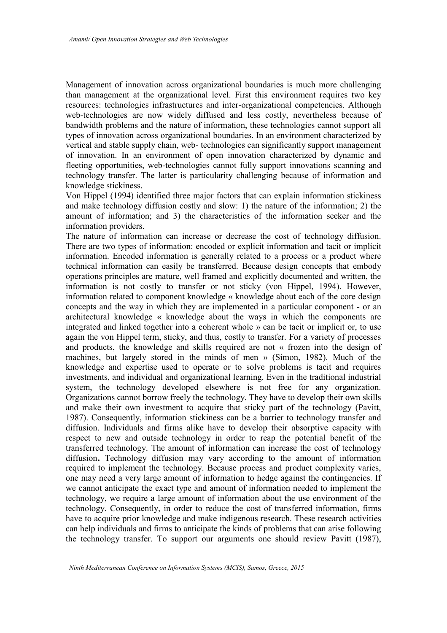Management of innovation across organizational boundaries is much more challenging than management at the organizational level. First this environment requires two key resources: technologies infrastructures and inter-organizational competencies. Although web-technologies are now widely diffused and less costly, nevertheless because of bandwidth problems and the nature of information, these technologies cannot support all types of innovation across organizational boundaries. In an environment characterized by vertical and stable supply chain, web- technologies can significantly support management of innovation. In an environment of open innovation characterized by dynamic and fleeting opportunities, web-technologies cannot fully support innovations scanning and technology transfer. The latter is particularity challenging because of information and knowledge stickiness.

Von Hippel (1994) identified three major factors that can explain information stickiness and make technology diffusion costly and slow: 1) the nature of the information; 2) the amount of information; and 3) the characteristics of the information seeker and the information providers.

The nature of information can increase or decrease the cost of technology diffusion. There are two types of information: encoded or explicit information and tacit or implicit information. Encoded information is generally related to a process or a product where technical information can easily be transferred. Because design concepts that embody operations principles are mature, well framed and explicitly documented and written, the information is not costly to transfer or not sticky (von Hippel, 1994). However, information related to component knowledge « knowledge about each of the core design concepts and the way in which they are implemented in a particular component - or an architectural knowledge « knowledge about the ways in which the components are integrated and linked together into a coherent whole » can be tacit or implicit or, to use again the von Hippel term, sticky, and thus, costly to transfer. For a variety of processes and products, the knowledge and skills required are not « frozen into the design of machines, but largely stored in the minds of men » (Simon, 1982). Much of the knowledge and expertise used to operate or to solve problems is tacit and requires investments, and individual and organizational learning. Even in the traditional industrial system, the technology developed elsewhere is not free for any organization. Organizations cannot borrow freely the technology. They have to develop their own skills and make their own investment to acquire that sticky part of the technology (Pavitt, 1987). Consequently, information stickiness can be a barrier to technology transfer and diffusion. Individuals and firms alike have to develop their absorptive capacity with respect to new and outside technology in order to reap the potential benefit of the transferred technology. The amount of information can increase the cost of technology diffusion**.** Technology diffusion may vary according to the amount of information required to implement the technology. Because process and product complexity varies, one may need a very large amount of information to hedge against the contingencies. If we cannot anticipate the exact type and amount of information needed to implement the technology, we require a large amount of information about the use environment of the technology. Consequently, in order to reduce the cost of transferred information, firms have to acquire prior knowledge and make indigenous research. These research activities can help individuals and firms to anticipate the kinds of problems that can arise following the technology transfer. To support our arguments one should review Pavitt (1987),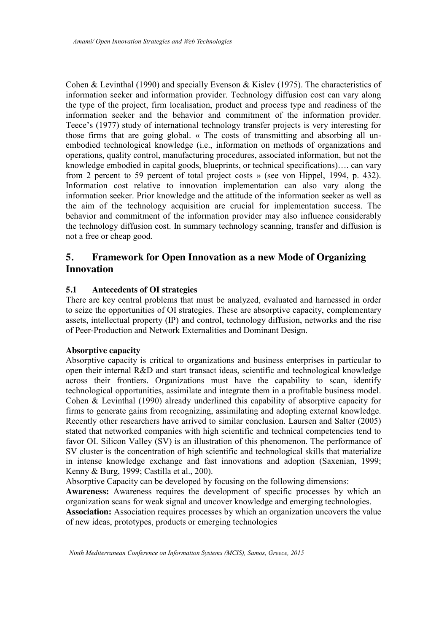Cohen & Levinthal (1990) and specially Evenson & Kislev (1975). The characteristics of information seeker and information provider. Technology diffusion cost can vary along the type of the project, firm localisation, product and process type and readiness of the information seeker and the behavior and commitment of the information provider. Teece's (1977) study of international technology transfer projects is very interesting for those firms that are going global. « The costs of transmitting and absorbing all unembodied technological knowledge (i.e., information on methods of organizations and operations, quality control, manufacturing procedures, associated information, but not the knowledge embodied in capital goods, blueprints, or technical specifications)…. can vary from 2 percent to 59 percent of total project costs » (see von Hippel, 1994, p. 432). Information cost relative to innovation implementation can also vary along the information seeker. Prior knowledge and the attitude of the information seeker as well as the aim of the technology acquisition are crucial for implementation success. The behavior and commitment of the information provider may also influence considerably the technology diffusion cost. In summary technology scanning, transfer and diffusion is not a free or cheap good.

# **5. Framework for Open Innovation as a new Mode of Organizing Innovation**

## **5.1 Antecedents of OI strategies**

There are key central problems that must be analyzed, evaluated and harnessed in order to seize the opportunities of OI strategies. These are absorptive capacity, complementary assets, intellectual property (IP) and control, technology diffusion, networks and the rise of Peer-Production and Network Externalities and Dominant Design.

## **Absorptive capacity**

Absorptive capacity is critical to organizations and business enterprises in particular to open their internal R&D and start transact ideas, scientific and technological knowledge across their frontiers. Organizations must have the capability to scan, identify technological opportunities, assimilate and integrate them in a profitable business model. Cohen & Levinthal (1990) already underlined this capability of absorptive capacity for firms to generate gains from recognizing, assimilating and adopting external knowledge. Recently other researchers have arrived to similar conclusion. Laursen and Salter (2005) stated that networked companies with high scientific and technical competencies tend to favor OI. Silicon Valley (SV) is an illustration of this phenomenon. The performance of SV cluster is the concentration of high scientific and technological skills that materialize in intense knowledge exchange and fast innovations and adoption (Saxenian, 1999; Kenny & Burg, 1999; Castilla et al., 200).

Absorptive Capacity can be developed by focusing on the following dimensions:

**Awareness:** Awareness requires the development of specific processes by which an organization scans for weak signal and uncover knowledge and emerging technologies.

**Association:** Association requires processes by which an organization uncovers the value of new ideas, prototypes, products or emerging technologies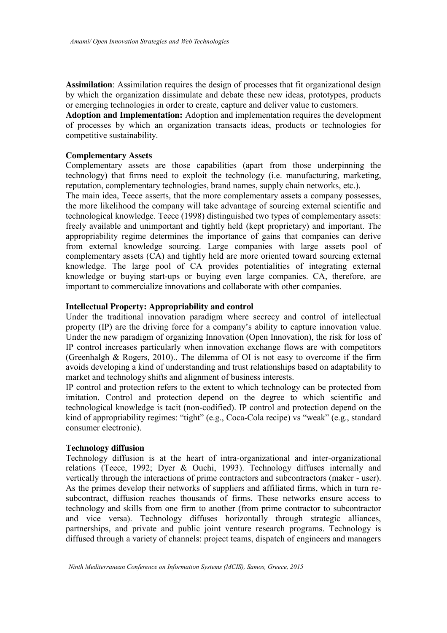**Assimilation**: Assimilation requires the design of processes that fit organizational design by which the organization dissimulate and debate these new ideas, prototypes, products or emerging technologies in order to create, capture and deliver value to customers.

**Adoption and Implementation:** Adoption and implementation requires the development of processes by which an organization transacts ideas, products or technologies for competitive sustainability.

## **Complementary Assets**

Complementary assets are those capabilities (apart from those underpinning the technology) that firms need to exploit the technology (i.e. manufacturing, marketing, reputation, complementary technologies, brand names, supply chain networks, etc.).

The main idea, Teece asserts, that the more complementary assets a company possesses, the more likelihood the company will take advantage of sourcing external scientific and technological knowledge. Teece (1998) distinguished two types of complementary assets: freely available and unimportant and tightly held (kept proprietary) and important. The appropriability regime determines the importance of gains that companies can derive from external knowledge sourcing. Large companies with large assets pool of complementary assets (CA) and tightly held are more oriented toward sourcing external knowledge. The large pool of CA provides potentialities of integrating external knowledge or buying start-ups or buying even large companies. CA, therefore, are important to commercialize innovations and collaborate with other companies.

#### **Intellectual Property: Appropriability and control**

Under the traditional innovation paradigm where secrecy and control of intellectual property (IP) are the driving force for a company's ability to capture innovation value. Under the new paradigm of organizing Innovation (Open Innovation), the risk for loss of IP control increases particularly when innovation exchange flows are with competitors (Greenhalgh & Rogers, 2010).. The dilemma of OI is not easy to overcome if the firm avoids developing a kind of understanding and trust relationships based on adaptability to market and technology shifts and alignment of business interests.

IP control and protection refers to the extent to which technology can be protected from imitation. Control and protection depend on the degree to which scientific and technological knowledge is tacit (non-codified). IP control and protection depend on the kind of appropriability regimes: "tight" (e.g., Coca-Cola recipe) vs "weak" (e.g., standard consumer electronic).

## **Technology diffusion**

Technology diffusion is at the heart of intra-organizational and inter-organizational relations (Teece, 1992; Dyer & Ouchi, 1993). Technology diffuses internally and vertically through the interactions of prime contractors and subcontractors (maker - user). As the primes develop their networks of suppliers and affiliated firms, which in turn resubcontract, diffusion reaches thousands of firms. These networks ensure access to technology and skills from one firm to another (from prime contractor to subcontractor and vice versa). Technology diffuses horizontally through strategic alliances, partnerships, and private and public joint venture research programs. Technology is diffused through a variety of channels: project teams, dispatch of engineers and managers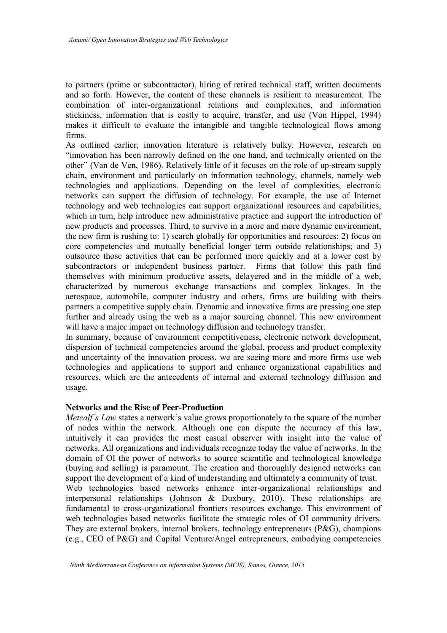to partners (prime or subcontractor), hiring of retired technical staff, written documents and so forth. However, the content of these channels is resilient to measurement. The combination of inter-organizational relations and complexities, and information stickiness, information that is costly to acquire, transfer, and use (Von Hippel, 1994) makes it difficult to evaluate the intangible and tangible technological flows among firms.

As outlined earlier, innovation literature is relatively bulky. However, research on "innovation has been narrowly defined on the one hand, and technically oriented on the other" (Van de Ven, 1986). Relatively little of it focuses on the role of up-stream supply chain, environment and particularly on information technology, channels, namely web technologies and applications. Depending on the level of complexities, electronic networks can support the diffusion of technology. For example, the use of Internet technology and web technologies can support organizational resources and capabilities, which in turn, help introduce new administrative practice and support the introduction of new products and processes. Third, to survive in a more and more dynamic environment, the new firm is rushing to: 1) search globally for opportunities and resources; 2) focus on core competencies and mutually beneficial longer term outside relationships; and 3) outsource those activities that can be performed more quickly and at a lower cost by subcontractors or independent business partner. Firms that follow this path find themselves with minimum productive assets, delayered and in the middle of a web, characterized by numerous exchange transactions and complex linkages. In the aerospace, automobile, computer industry and others, firms are building with theirs partners a competitive supply chain. Dynamic and innovative firms are pressing one step further and already using the web as a major sourcing channel. This new environment will have a major impact on technology diffusion and technology transfer.

In summary, because of environment competitiveness, electronic network development, dispersion of technical competencies around the global, process and product complexity and uncertainty of the innovation process, we are seeing more and more firms use web technologies and applications to support and enhance organizational capabilities and resources, which are the antecedents of internal and external technology diffusion and usage.

#### **Networks and the Rise of Peer-Production**

*Metcalf's Law* states a network's value grows proportionately to the square of the number of nodes within the network. Although one can dispute the accuracy of this law, intuitively it can provides the most casual observer with insight into the value of networks. All organizations and individuals recognize today the value of networks. In the domain of OI the power of networks to source scientific and technological knowledge (buying and selling) is paramount. The creation and thoroughly designed networks can support the development of a kind of understanding and ultimately a community of trust. Web technologies based networks enhance inter-organizational relationships and interpersonal relationships (Johnson & Duxbury, 2010). These relationships are fundamental to cross-organizational frontiers resources exchange. This environment of web technologies based networks facilitate the strategic roles of OI community drivers. They are external brokers, internal brokers, technology entrepreneurs (P&G), champions (e.g., CEO of P&G) and Capital Venture/Angel entrepreneurs, embodying competencies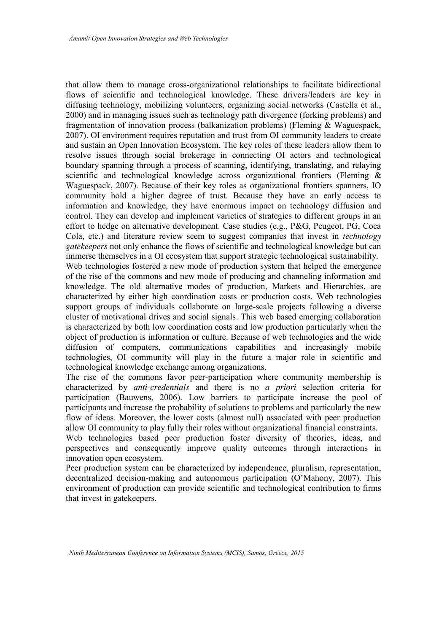that allow them to manage cross-organizational relationships to facilitate bidirectional flows of scientific and technological knowledge. These drivers/leaders are key in diffusing technology, mobilizing volunteers, organizing social networks (Castella et al., 2000) and in managing issues such as technology path divergence (forking problems) and fragmentation of innovation process (balkanization problems) (Fleming & Waguespack, 2007). OI environment requires reputation and trust from OI community leaders to create and sustain an Open Innovation Ecosystem. The key roles of these leaders allow them to resolve issues through social brokerage in connecting OI actors and technological boundary spanning through a process of scanning, identifying, translating, and relaying scientific and technological knowledge across organizational frontiers (Fleming & Waguespack, 2007). Because of their key roles as organizational frontiers spanners, IO community hold a higher degree of trust. Because they have an early access to information and knowledge, they have enormous impact on technology diffusion and control. They can develop and implement varieties of strategies to different groups in an effort to hedge on alternative development. Case studies (e.g., P&G, Peugeot, PG, Coca Cola, etc.) and literature review seem to suggest companies that invest in *technology gatekeepers* not only enhance the flows of scientific and technological knowledge but can immerse themselves in a OI ecosystem that support strategic technological sustainability.

Web technologies fostered a new mode of production system that helped the emergence of the rise of the commons and new mode of producing and channeling information and knowledge. The old alternative modes of production, Markets and Hierarchies, are characterized by either high coordination costs or production costs. Web technologies support groups of individuals collaborate on large-scale projects following a diverse cluster of motivational drives and social signals. This web based emerging collaboration is characterized by both low coordination costs and low production particularly when the object of production is information or culture. Because of web technologies and the wide diffusion of computers, communications capabilities and increasingly mobile technologies, OI community will play in the future a major role in scientific and technological knowledge exchange among organizations.

The rise of the commons favor peer-participation where community membership is characterized by *anti-credentials* and there is no *a priori* selection criteria for participation (Bauwens, 2006). Low barriers to participate increase the pool of participants and increase the probability of solutions to problems and particularly the new flow of ideas. Moreover, the lower costs (almost null) associated with peer production allow OI community to play fully their roles without organizational financial constraints.

Web technologies based peer production foster diversity of theories, ideas, and perspectives and consequently improve quality outcomes through interactions in innovation open ecosystem.

Peer production system can be characterized by independence, pluralism, representation, decentralized decision-making and autonomous participation (O'Mahony, 2007). This environment of production can provide scientific and technological contribution to firms that invest in gatekeepers.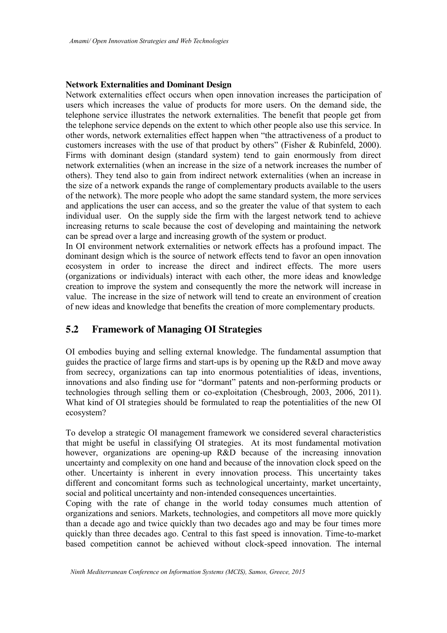## **Network Externalities and Dominant Design**

Network externalities effect occurs when open innovation increases the participation of users which increases the value of products for more users. On the demand side, the telephone service illustrates the network externalities. The benefit that people get from the telephone service depends on the extent to which other people also use this service. In other words, network externalities effect happen when "the attractiveness of a product to customers increases with the use of that product by others" (Fisher & Rubinfeld, 2000). Firms with dominant design (standard system) tend to gain enormously from direct network externalities (when an increase in the size of a network increases the number of others). They tend also to gain from indirect network externalities (when an increase in the size of a network expands the range of complementary products available to the users of the network). The more people who adopt the same standard system, the more services and applications the user can access, and so the greater the value of that system to each individual user. On the supply side the firm with the largest network tend to achieve increasing returns to scale because the cost of developing and maintaining the network can be spread over a large and increasing growth of the system or product.

In OI environment network externalities or network effects has a profound impact. The dominant design which is the source of network effects tend to favor an open innovation ecosystem in order to increase the direct and indirect effects. The more users (organizations or individuals) interact with each other, the more ideas and knowledge creation to improve the system and consequently the more the network will increase in value. The increase in the size of network will tend to create an environment of creation of new ideas and knowledge that benefits the creation of more complementary products.

# **5.2 Framework of Managing OI Strategies**

OI embodies buying and selling external knowledge. The fundamental assumption that guides the practice of large firms and start-ups is by opening up the R&D and move away from secrecy, organizations can tap into enormous potentialities of ideas, inventions, innovations and also finding use for "dormant" patents and non-performing products or technologies through selling them or co-exploitation (Chesbrough, 2003, 2006, 2011). What kind of OI strategies should be formulated to reap the potentialities of the new OI ecosystem?

To develop a strategic OI management framework we considered several characteristics that might be useful in classifying OI strategies. At its most fundamental motivation however, organizations are opening-up R&D because of the increasing innovation uncertainty and complexity on one hand and because of the innovation clock speed on the other. Uncertainty is inherent in every innovation process. This uncertainty takes different and concomitant forms such as technological uncertainty, market uncertainty, social and political uncertainty and non-intended consequences uncertainties.

Coping with the rate of change in the world today consumes much attention of organizations and seniors. Markets, technologies, and competitors all move more quickly than a decade ago and twice quickly than two decades ago and may be four times more quickly than three decades ago. Central to this fast speed is innovation. Time-to-market based competition cannot be achieved without clock-speed innovation. The internal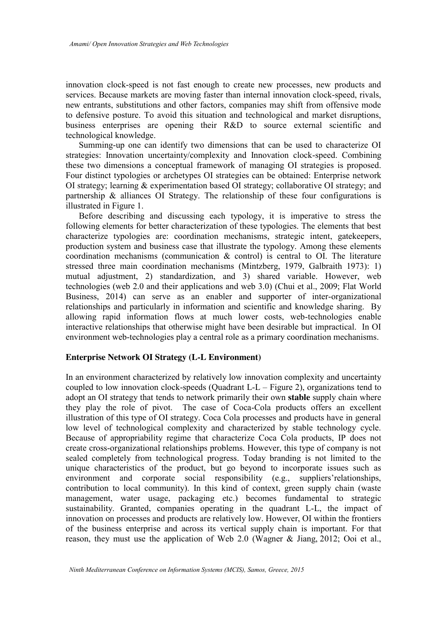innovation clock-speed is not fast enough to create new processes, new products and services. Because markets are moving faster than internal innovation clock-speed, rivals, new entrants, substitutions and other factors, companies may shift from offensive mode to defensive posture. To avoid this situation and technological and market disruptions, business enterprises are opening their R&D to source external scientific and technological knowledge.

Summing-up one can identify two dimensions that can be used to characterize OI strategies: Innovation uncertainty/complexity and Innovation clock-speed. Combining these two dimensions a conceptual framework of managing OI strategies is proposed. Four distinct typologies or archetypes OI strategies can be obtained: Enterprise network OI strategy; learning & experimentation based OI strategy; collaborative OI strategy; and partnership & alliances OI Strategy. The relationship of these four configurations is illustrated in Figure 1.

Before describing and discussing each typology, it is imperative to stress the following elements for better characterization of these typologies. The elements that best characterize typologies are: coordination mechanisms, strategic intent, gatekeepers, production system and business case that illustrate the typology. Among these elements coordination mechanisms (communication  $\&$  control) is central to OI. The literature stressed three main coordination mechanisms (Mintzberg, 1979, Galbraith 1973): 1) mutual adjustment, 2) standardization, and 3) shared variable. However, web technologies (web 2.0 and their applications and web 3.0) (Chui et al., 2009; Flat World Business, 2014) can serve as an enabler and supporter of inter-organizational relationships and particularly in information and scientific and knowledge sharing. By allowing rapid information flows at much lower costs, web-technologies enable interactive relationships that otherwise might have been desirable but impractical. In OI environment web-technologies play a central role as a primary coordination mechanisms.

#### **Enterprise Network OI Strategy (L-L Environment)**

In an environment characterized by relatively low innovation complexity and uncertainty coupled to low innovation clock-speeds (Quadrant L-L – Figure 2), organizations tend to adopt an OI strategy that tends to network primarily their own **stable** supply chain where they play the role of pivot. The case of Coca-Cola products offers an excellent illustration of this type of OI strategy. Coca Cola processes and products have in general low level of technological complexity and characterized by stable technology cycle. Because of appropriability regime that characterize Coca Cola products, IP does not create cross-organizational relationships problems. However, this type of company is not sealed completely from technological progress. Today branding is not limited to the unique characteristics of the product, but go beyond to incorporate issues such as environment and corporate social responsibility (e.g., suppliers'relationships, contribution to local community). In this kind of context, green supply chain (waste management, water usage, packaging etc.) becomes fundamental to strategic sustainability. Granted, companies operating in the quadrant L-L, the impact of innovation on processes and products are relatively low. However, OI within the frontiers of the business enterprise and across its vertical supply chain is important. For that reason, they must use the application of Web 2.0 (Wagner & Jiang, 2012; Ooi et al.,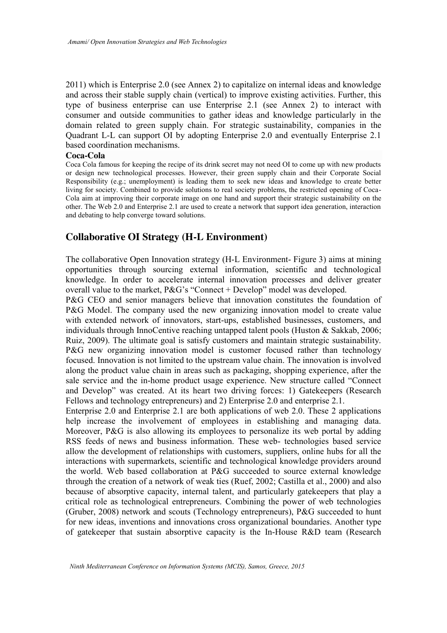2011) which is Enterprise 2.0 (see Annex 2) to capitalize on internal ideas and knowledge and across their stable supply chain (vertical) to improve existing activities. Further, this type of business enterprise can use Enterprise 2.1 (see Annex 2) to interact with consumer and outside communities to gather ideas and knowledge particularly in the domain related to green supply chain. For strategic sustainability, companies in the Quadrant L-L can support OI by adopting Enterprise 2.0 and eventually Enterprise 2.1 based coordination mechanisms.

#### **Coca-Cola**

Coca Cola famous for keeping the recipe of its drink secret may not need OI to come up with new products or design new technological processes. However, their green supply chain and their Corporate Social Responsibility (e.g.; unemployment) is leading them to seek new ideas and knowledge to create better living for society. Combined to provide solutions to real society problems, the restricted opening of Coca-Cola aim at improving their corporate image on one hand and support their strategic sustainability on the other. The Web 2.0 and Enterprise 2.1 are used to create a network that support idea generation, interaction and debating to help converge toward solutions.

## **Collaborative OI Strategy (H-L Environment)**

The collaborative Open Innovation strategy (H-L Environment- Figure 3) aims at mining opportunities through sourcing external information, scientific and technological knowledge. In order to accelerate internal innovation processes and deliver greater overall value to the market, P&G's "Connect + Develop" model was developed.

P&G CEO and senior managers believe that innovation constitutes the foundation of P&G Model. The company used the new organizing innovation model to create value with extended network of innovators, start-ups, established businesses, customers, and individuals through InnoCentive reaching untapped talent pools (Huston & Sakkab, 2006; Ruiz, 2009). The ultimate goal is satisfy customers and maintain strategic sustainability. P&G new organizing innovation model is customer focused rather than technology focused. Innovation is not limited to the upstream value chain. The innovation is involved along the product value chain in areas such as packaging, shopping experience, after the sale service and the in-home product usage experience. New structure called "Connect and Develop" was created. At its heart two driving forces: 1) Gatekeepers (Research Fellows and technology entrepreneurs) and 2) Enterprise 2.0 and enterprise 2.1.

Enterprise 2.0 and Enterprise 2.1 are both applications of web 2.0. These 2 applications help increase the involvement of employees in establishing and managing data. Moreover, P&G is also allowing its employees to personalize its web portal by adding RSS feeds of news and business information. These web- technologies based service allow the development of relationships with customers, suppliers, online hubs for all the interactions with supermarkets, scientific and technological knowledge providers around the world. Web based collaboration at P&G succeeded to source external knowledge through the creation of a network of weak ties (Ruef, 2002; Castilla et al., 2000) and also because of absorptive capacity, internal talent, and particularly gatekeepers that play a critical role as technological entrepreneurs. Combining the power of web technologies (Gruber, 2008) network and scouts (Technology entrepreneurs), P&G succeeded to hunt for new ideas, inventions and innovations cross organizational boundaries. Another type of gatekeeper that sustain absorptive capacity is the In-House R&D team (Research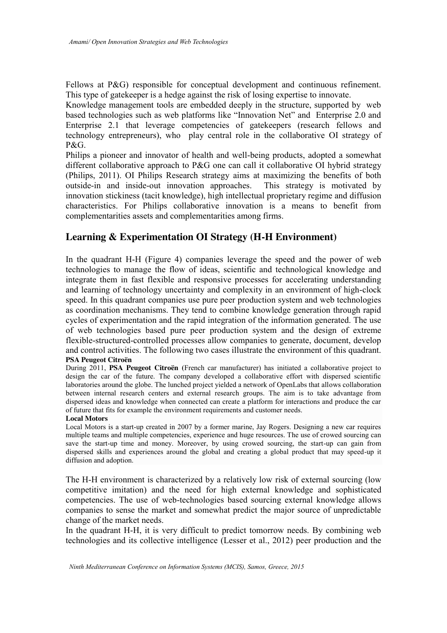Fellows at P&G) responsible for conceptual development and continuous refinement. This type of gatekeeper is a hedge against the risk of losing expertise to innovate.

Knowledge management tools are embedded deeply in the structure, supported by web based technologies such as web platforms like "Innovation Net" and Enterprise 2.0 and Enterprise 2.1 that leverage competencies of gatekeepers (research fellows and technology entrepreneurs), who play central role in the collaborative OI strategy of P&G.

Philips a pioneer and innovator of health and well-being products, adopted a somewhat different collaborative approach to P&G one can call it collaborative OI hybrid strategy (Philips, 2011). OI Philips Research strategy aims at maximizing the benefits of both outside-in and inside-out innovation approaches. This strategy is motivated by innovation stickiness (tacit knowledge), high intellectual proprietary regime and diffusion characteristics. For Philips collaborative innovation is a means to benefit from complementarities assets and complementarities among firms.

# **Learning & Experimentation OI Strategy (H-H Environment)**

In the quadrant H-H (Figure 4) companies leverage the speed and the power of web technologies to manage the flow of ideas, scientific and technological knowledge and integrate them in fast flexible and responsive processes for accelerating understanding and learning of technology uncertainty and complexity in an environment of high-clock speed. In this quadrant companies use pure peer production system and web technologies as coordination mechanisms. They tend to combine knowledge generation through rapid cycles of experimentation and the rapid integration of the information generated. The use of web technologies based pure peer production system and the design of extreme flexible-structured-controlled processes allow companies to generate, document, develop and control activities. The following two cases illustrate the environment of this quadrant. **PSA Peugeot Citroën**

During 2011, **PSA Peugeot Citroën (**French car manufacturer) has initiated a collaborative project to design the car of the future. The company developed a collaborative effort with dispersed scientific laboratories around the globe. The lunched project yielded a network of OpenLabs that allows collaboration between internal research centers and external research groups. The aim is to take advantage from dispersed ideas and knowledge when connected can create a platform for interactions and produce the car of future that fits for example the environment requirements and customer needs.

#### **Local Motors**

Local Motors is a start-up created in 2007 by a former marine, Jay Rogers. Designing a new car requires multiple teams and multiple competencies, experience and huge resources. The use of crowed sourcing can save the start-up time and money. Moreover, by using crowed sourcing, the start-up can gain from dispersed skills and experiences around the global and creating a global product that may speed-up it diffusion and adoption.

The H-H environment is characterized by a relatively low risk of external sourcing (low competitive imitation) and the need for high external knowledge and sophisticated competencies. The use of web-technologies based sourcing external knowledge allows companies to sense the market and somewhat predict the major source of unpredictable change of the market needs.

In the quadrant H-H, it is very difficult to predict tomorrow needs. By combining web technologies and its collective intelligence (Lesser et al., 2012) peer production and the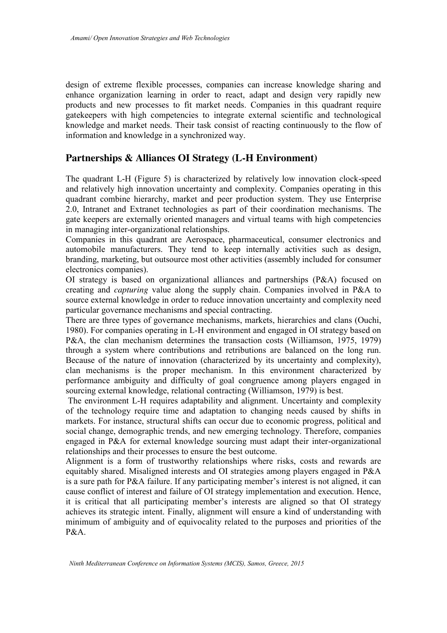design of extreme flexible processes, companies can increase knowledge sharing and enhance organization learning in order to react, adapt and design very rapidly new products and new processes to fit market needs. Companies in this quadrant require gatekeepers with high competencies to integrate external scientific and technological knowledge and market needs. Their task consist of reacting continuously to the flow of information and knowledge in a synchronized way.

# **Partnerships & Alliances OI Strategy (L-H Environment)**

The quadrant L-H (Figure 5) is characterized by relatively low innovation clock-speed and relatively high innovation uncertainty and complexity. Companies operating in this quadrant combine hierarchy, market and peer production system. They use Enterprise 2.0, Intranet and Extranet technologies as part of their coordination mechanisms. The gate keepers are externally oriented managers and virtual teams with high competencies in managing inter-organizational relationships.

Companies in this quadrant are Aerospace, pharmaceutical, consumer electronics and automobile manufacturers. They tend to keep internally activities such as design, branding, marketing, but outsource most other activities (assembly included for consumer electronics companies).

OI strategy is based on organizational alliances and partnerships (P&A) focused on creating and *capturing* value along the supply chain. Companies involved in P&A to source external knowledge in order to reduce innovation uncertainty and complexity need particular governance mechanisms and special contracting.

There are three types of governance mechanisms, markets, hierarchies and clans (Ouchi, 1980). For companies operating in L-H environment and engaged in OI strategy based on P&A, the clan mechanism determines the transaction costs (Williamson, 1975, 1979) through a system where contributions and retributions are balanced on the long run. Because of the nature of innovation (characterized by its uncertainty and complexity), clan mechanisms is the proper mechanism. In this environment characterized by performance ambiguity and difficulty of goal congruence among players engaged in sourcing external knowledge, relational contracting (Williamson, 1979) is best.

The environment L-H requires adaptability and alignment. Uncertainty and complexity of the technology require time and adaptation to changing needs caused by shifts in markets. For instance, structural shifts can occur due to economic progress, political and social change, demographic trends, and new emerging technology. Therefore, companies engaged in P&A for external knowledge sourcing must adapt their inter-organizational relationships and their processes to ensure the best outcome.

Alignment is a form of trustworthy relationships where risks, costs and rewards are equitably shared. Misaligned interests and OI strategies among players engaged in P&A is a sure path for P&A failure. If any participating member's interest is not aligned, it can cause conflict of interest and failure of OI strategy implementation and execution. Hence, it is critical that all participating member's interests are aligned so that OI strategy achieves its strategic intent. Finally, alignment will ensure a kind of understanding with minimum of ambiguity and of equivocality related to the purposes and priorities of the  $P\&A$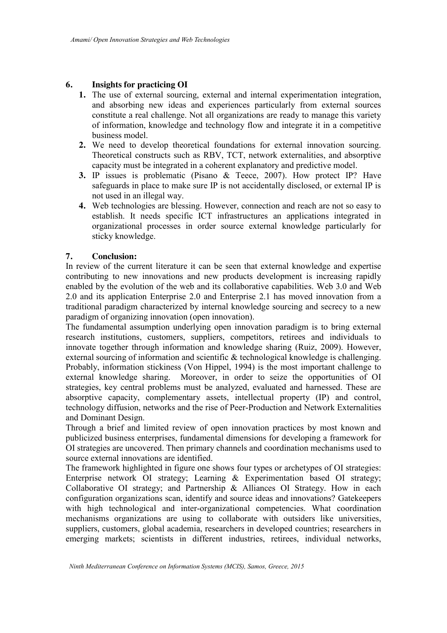## **6. Insights for practicing OI**

- **1.** The use of external sourcing, external and internal experimentation integration, and absorbing new ideas and experiences particularly from external sources constitute a real challenge. Not all organizations are ready to manage this variety of information, knowledge and technology flow and integrate it in a competitive business model.
- **2.** We need to develop theoretical foundations for external innovation sourcing. Theoretical constructs such as RBV, TCT, network externalities, and absorptive capacity must be integrated in a coherent explanatory and predictive model.
- **3.** IP issues is problematic (Pisano & Teece, 2007). How protect IP? Have safeguards in place to make sure IP is not accidentally disclosed, or external IP is not used in an illegal way.
- **4.** Web technologies are blessing. However, connection and reach are not so easy to establish. It needs specific ICT infrastructures an applications integrated in organizational processes in order source external knowledge particularly for sticky knowledge.

## **7. Conclusion:**

In review of the current literature it can be seen that external knowledge and expertise contributing to new innovations and new products development is increasing rapidly enabled by the evolution of the web and its collaborative capabilities. Web 3.0 and Web 2.0 and its application Enterprise 2.0 and Enterprise 2.1 has moved innovation from a traditional paradigm characterized by internal knowledge sourcing and secrecy to a new paradigm of organizing innovation (open innovation).

The fundamental assumption underlying open innovation paradigm is to bring external research institutions, customers, suppliers, competitors, retirees and individuals to innovate together through information and knowledge sharing (Ruiz, 2009). However, external sourcing of information and scientific & technological knowledge is challenging. Probably, information stickiness (Von Hippel, 1994) is the most important challenge to external knowledge sharing. Moreover, in order to seize the opportunities of OI strategies, key central problems must be analyzed, evaluated and harnessed. These are absorptive capacity, complementary assets, intellectual property (IP) and control, technology diffusion, networks and the rise of Peer-Production and Network Externalities and Dominant Design.

Through a brief and limited review of open innovation practices by most known and publicized business enterprises, fundamental dimensions for developing a framework for OI strategies are uncovered. Then primary channels and coordination mechanisms used to source external innovations are identified.

The framework highlighted in figure one shows four types or archetypes of OI strategies: Enterprise network OI strategy; Learning & Experimentation based OI strategy; Collaborative OI strategy; and Partnership & Alliances OI Strategy. How in each configuration organizations scan, identify and source ideas and innovations? Gatekeepers with high technological and inter-organizational competencies. What coordination mechanisms organizations are using to collaborate with outsiders like universities, suppliers, customers, global academia, researchers in developed countries; researchers in emerging markets; scientists in different industries, retirees, individual networks,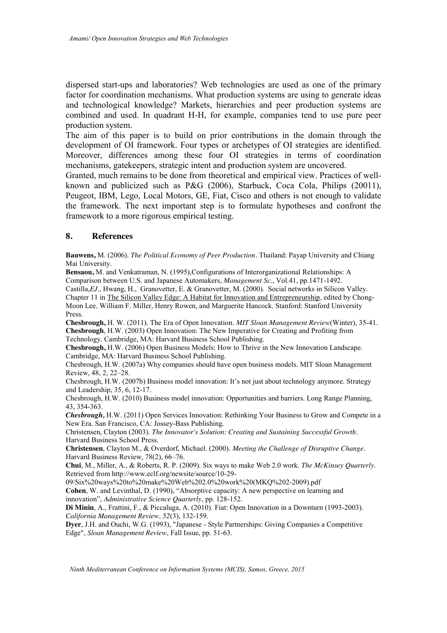dispersed start-ups and laboratories? Web technologies are used as one of the primary factor for coordination mechanisms. What production systems are using to generate ideas and technological knowledge? Markets, hierarchies and peer production systems are combined and used. In quadrant H-H, for example, companies tend to use pure peer production system.

The aim of this paper is to build on prior contributions in the domain through the development of OI framework. Four types or archetypes of OI strategies are identified. Moreover, differences among these four OI strategies in terms of coordination mechanisms, gatekeepers, strategic intent and production system are uncovered.

Granted, much remains to be done from theoretical and empirical view. Practices of wellknown and publicized such as P&G (2006), Starbuck, Coca Cola, Philips (20011), Peugeot, IBM, Lego, Local Motors, GE, Fiat, Cisco and others is not enough to validate the framework. The next important step is to formulate hypotheses and confront the framework to a more rigorous empirical testing.

### **8. References**

**Bauwens,** M. (2006). *The Political Economy of Peer Production.* Thailand: Payap University and Chiang Mai University.

**Bensaou,** M. and Venkatraman, N. (1995),Configurations of Interorganizational Relationships: A Comparison between U.S. and Japanese Automakers, *Management Sc*., Vol.41, pp.1471-1492. Castilla,*EJ.,* Hwang, H., Granovetter, E. & Granovetter, M. (2000). Social networks in Silicon Valley. Chapter 11 in The Silicon Valley Edge: A Habitat for Innovation and Entrepreneurship*,* edited by Chong-Moon Lee*,* William F. Miller, Henry Rowen, and Marguerite Hancock. Stanford: Stanford University Press.

**Chesbrough,** H. W. (2011). The Era of Open Innovation. *MIT Sloan Management Review*(Winter), 35-41. **Chesbrough**, H.W. (2003) Open Innovation: The New Imperative for Creating and Profiting from Technology. Cambridge, MA: Harvard Business School Publishing.

**Chesbrough,** H.W. (2006) Open Business Models: How to Thrive in the New Innovation Landscape. Cambridge, MA: Harvard Business School Publishing.

Chesbrough, H.W. (2007a) Why companies should have open business models. MIT Sloan Management Review, 48, 2, 22–28.

Chesbrough, H.W. (2007b) Business model innovation: It's not just about technology anymore. Strategy and Leadership, 35, 6, 12-17.

Chesbrough, H.W. (2010) Business model innovation: Opportunities and barriers. Long Range Planning, 43, 354-363.

*Chesbrough,* H.W. (2011) Open Services Innovation: Rethinking Your Business to Grow and Compete in a New Era. San Francisco, CA: Jossey-Bass Publishing.

Christensen, Clayton (2003). *The Innovator's Solution: Creating and Sustaining Successful Growth*. Harvard Business School Press.

**Christensen**, Clayton M., & Overdorf, Michael. (2000). *Meeting the Challenge of Disruptive Change*. Harvard Business Review, 78(2), 66–76.

**Chui**, M., Miller, A., & Roberts, R. P. (2009). Six ways to make Web 2.0 work. *The McKinsey Quarterly*. Retrieved from http://www.eclf.org/newsite/source/10-29-

09/Six%20ways%20to%20make%20Web%202.0%20work%20(MKQ%202-2009).pdf

**Cohen**, W. and Levinthal, D. (1990), "Absorptive capacity: A new perspective on learning and innovation", *Administrative Science Quarterly*, pp. 128-152.

**Di Minin**, A., Frattini, F., & Piccaluga, A. (2010). Fiat: Open Innovation in a Downturn (1993-2003). *California Management Review, 52*(3), 132-159.

**Dyer**, J.H. and Ouchi, W.G. (1993), "Japanese - Style Partnerships: Giving Companies a Competitive Edge", *Sloan Management Review*, Fall Issue, pp. 51-63.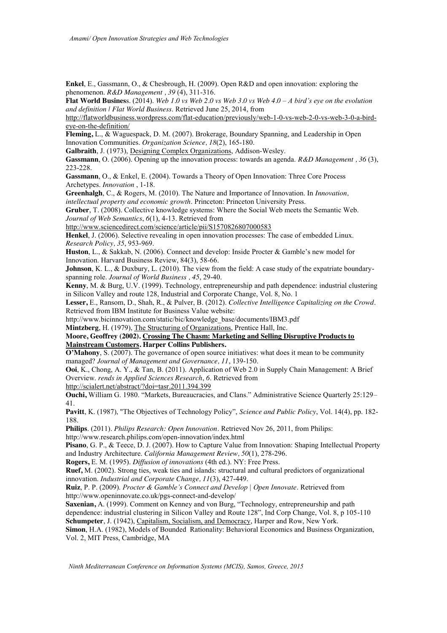**Enkel**, E., Gassmann, O., & Chesbrough, H. (2009). Open R&D and open innovation: exploring the phenomenon. *R&D Management , 39* (4), 311-316.

**Flat World Busines**s. (2014). *Web 1.0 vs Web 2.0 vs Web 3.0 vs Web 4.0 – A bird's eye on the evolution and definition | Flat World Business*. Retrieved June 25, 2014, from

http://flatworldbusiness.wordpress.com/flat-education/previously/web-1-0-vs-web-2-0-vs-web-3-0-a-birdeye-on-the-definition/

**Fleming,** L., & Waguespack, D. M. (2007). Brokerage, Boundary Spanning, and Leadership in Open Innovation Communities. *Organization Science, 18*(2), 165-180.

**Galbraith**, J. (1973), Designing Complex Organizations, Addison-Wesley.

**Gassmann**, O. (2006). Opening up the innovation process: towards an agenda. *R&D Management , 36* (3), 223-228.

**Gassmann**, O., & Enkel, E. (2004). Towards a Theory of Open Innovation: Three Core Process Archetypes. *Innovation* , 1-18.

**Greenhalgh**, C., & Rogers, M. (2010). The Nature and Importance of Innovation. In *Innovation, intellectual property and economic growth*. Princeton: Princeton University Press.

**Gruber**, T. (2008). Collective knowledge systems: Where the Social Web meets the Semantic Web. *Journal of Web Semantics*, *6*(1), 4-13. Retrieved from

http://www.sciencedirect.com/science/article/pii/S1570826807000583

**Henkel**, J. (2006). Selective revealing in open innovation processes: The case of embedded Linux. *Research Policy, 35*, 953-969.

**Huston**, L., & Sakkab, N. (2006). Connect and develop: Inside Procter & Gamble's new model for Innovation. Harvard Business Review, 84(3), 58-66.

**Johnson**, K. L., & Duxbury, L. (2010). The view from the field: A case study of the expatriate boundaryspanning role. *Journal of World Business , 45*, 29-40.

**Kenny**, M. & Burg, U.V. (1999). Technology, entrepreneurship and path dependence: industrial clustering in Silicon Valley and route 128, Industrial and Corporate Change, Vol. 8, No. 1

**Lesser,** E., Ransom, D., Shah, R., & Pulver, B. (2012). *Collective Intelligence Capitalizing on the Crowd*. Retrieved from IBM Institute for Business Value website:

http://www.bicinnovation.com/static/bic/knowledge\_base/documents/IBM3.pdf

**Mintzberg**, H. (1979), The Structuring of Organizations, Prentice Hall, Inc.

**Moore, Geoffrey (2002). Crossing The Chasm: Marketing and Selling Disruptive Products to Mainstream Customers. Harper Collins Publishers.**

**O'Mahony**, S. (2007). The governance of open source initiatives: what does it mean to be community managed? *Journal of Management and Governance, 11*, 139-150.

**Ooi**, K., Chong, A. Y., & Tan, B. (2011). Application of Web 2.0 in Supply Chain Management: A Brief Overview. *rends in Applied Sciences Research*, *6*. Retrieved from

http://scialert.net/abstract/?doi=tasr.2011.394.399

**Ouchi,** William G. 1980. "Markets, Bureaucracies, and Clans." Administrative Science Quarterly 25:129– 41.

**Pavitt**, K. (1987), "The Objectives of Technology Policy", *Science and Public Policy*, Vol. 14(4), pp. 182- 188.

**Philips**. (2011). *Philips Research: Open Innovation*. Retrieved Nov 26, 2011, from Philips:

http://www.research.philips.com/open-innovation/index.html

**Pisano**, G. P., & Teece, D. J. (2007). How to Capture Value from Innovation: Shaping Intellectual Property and Industry Architecture. *California Management Review, 50*(1), 278-296.

**Rogers,** E. M. (1995). *Diffusion of innovations* (4th ed.). NY: Free Press.

**Ruef,** M. (2002). Strong ties, weak ties and islands: structural and cultural predictors of organizational innovation. *Industrial and Corporate Change, 11*(3), 427-449.

**Ruiz**, P. P. (2009). *Procter & Gamble's Connect and Develop | Open Innovate*. Retrieved from http://www.openinnovate.co.uk/pgs-connect-and-develop/

**Saxenian,** A. (1999). Comment on Kenney and von Burg, "Technology, entrepreneurship and path dependence: industrial clustering in Silicon Valley and Route 128", Ind Corp Change, Vol. 8, p 105-110 Schumpeter, J. (1942), Capitalism, Socialism, and Democracy, Harper and Row, New York.

**Simon**, H.A. (1982), Models of Bounded Rationality: Behavioral Economics and Business Organization, Vol. 2, MIT Press, Cambridge, MA

*Ninth Mediterranean Conference on Information Systems (MCIS), Samos, Greece, 2015*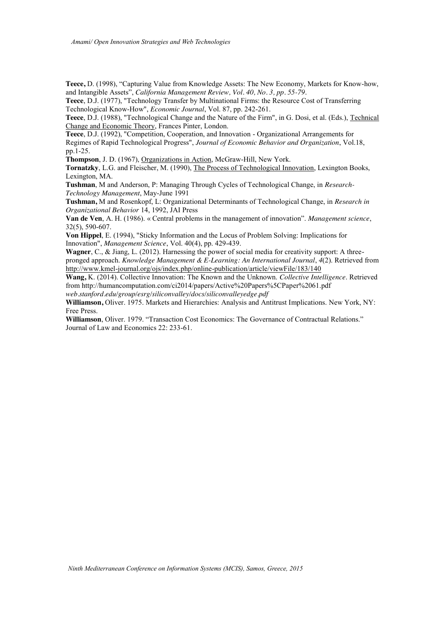**Teece,** D. (1998), "Capturing Value from Knowledge Assets: The New Economy, Markets for Know-how, and Intangible Assets", *California Management Review, Vol. 40, No. 3, pp. 55-79.*

**Teece**, D.J. (1977), "Technology Transfer by Multinational Firms: the Resource Cost of Transferring Technological Know-How", *Economic Journal*, Vol. 87, pp. 242-261.

**Teece**, D.J. (1988), "Technological Change and the Nature of the Firm", in G. Dosi, et al. (Eds.), Technical Change and Economic Theory, Frances Pinter, London.

**Teece**, D.J. (1992), "Competition, Cooperation, and Innovation - Organizational Arrangements for Regimes of Rapid Technological Progress", *Journal of Economic Behavior and Organization*, Vol.18, pp.1-25.

**Thompson**, J. D. (1967), Organizations in Action, McGraw-Hill, New York.

**Tornatzky**, L.G. and Fleischer, M. (1990), The Process of Technological Innovation, Lexington Books, Lexington, MA.

**Tushman**, M and Anderson, P: Managing Through Cycles of Technological Change, in *Research-Technology Management*, May-June 1991

**Tushman,** M and Rosenkopf, L: Organizational Determinants of Technological Change, in *Research in Organizational Behavior* 14, 1992, JAI Press

**Van de Ven**, A. H. (1986). « Central problems in the management of innovation". *Management science*, 32(5), 590-607.

**Von Hippel**, E. (1994), "Sticky Information and the Locus of Problem Solving: Implications for Innovation", *Management Science*, Vol. 40(4), pp. 429-439.

**Wagner**, C., & Jiang, L. (2012). Harnessing the power of social media for creativity support: A threepronged approach. *Knowledge Management & E-Learning: An International Journal*, *4*(2). Retrieved from http://www.kmel-journal.org/ojs/index.php/online-publication/article/viewFile/183/140

**Wang,** K. (2014). Collective Innovation: The Known and the Unknown. *Collective Intelligence*. Retrieved from http://humancomputation.com/ci2014/papers/Active%20Papers%5CPaper%2061.pdf

*web.stanford.edu/group/esrg/siliconvalley/docs/siliconvalleyedge.pdf*

**Williamson,** Oliver. 1975. Markets and Hierarchies: Analysis and Antitrust Implications. New York, NY: Free Press.

**Williamson**, Oliver. 1979. "Transaction Cost Economics: The Governance of Contractual Relations." Journal of Law and Economics 22: 233-61.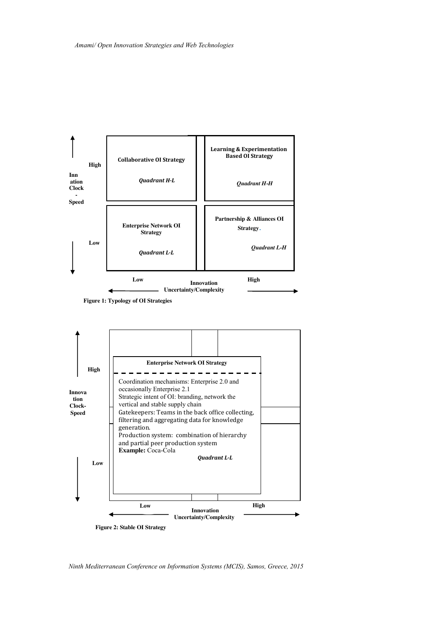



*Ninth Mediterranean Conference on Information Systems (MCIS), Samos, Greece, 2015*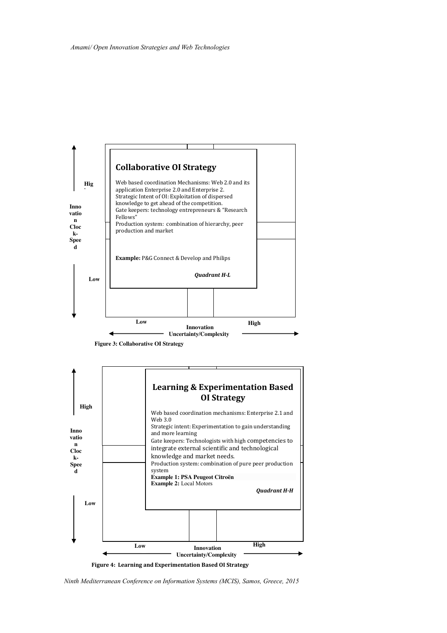





*Ninth Mediterranean Conference on Information Systems (MCIS), Samos, Greece, 2015*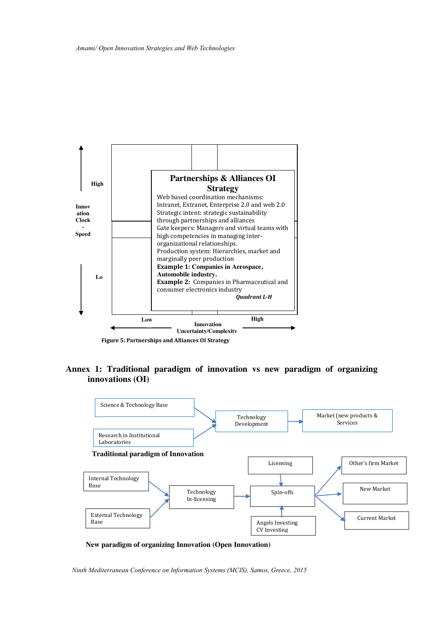

**Annex 1: Traditional paradigm of innovation vs new paradigm of organizing innovations (OI)**



**New paradigm of organizing Innovation (Open Innovation)**

*Ninth Mediterranean Conference on Information Systems (MCIS), Samos, Greece, 2015*